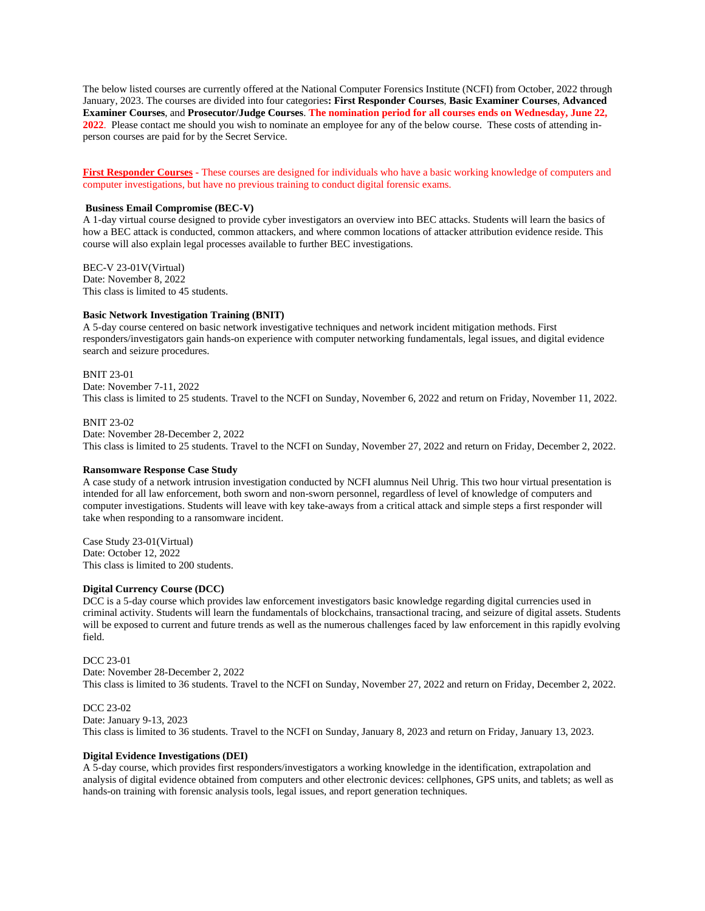The below listed courses are currently offered at the National Computer Forensics Institute (NCFI) from October, 2022 through January, 2023. The courses are divided into four categories**: First Responder Courses**, **Basic Examiner Courses**, **Advanced Examiner Courses**, and **Prosecutor/Judge Courses**. **The nomination period for all courses ends on Wednesday, June 22, 2022**. Please contact me should you wish to nominate an employee for any of the below course. These costs of attending inperson courses are paid for by the Secret Service.

**First Responder Courses -** These courses are designed for individuals who have a basic working knowledge of computers and computer investigations, but have no previous training to conduct digital forensic exams.

## **Business Email Compromise (BEC-V)**

A 1-day virtual course designed to provide cyber investigators an overview into BEC attacks. Students will learn the basics of how a BEC attack is conducted, common attackers, and where common locations of attacker attribution evidence reside. This course will also explain legal processes available to further BEC investigations.

BEC-V 23-01V(Virtual) Date: November 8, 2022 This class is limited to 45 students.

#### **Basic Network Investigation Training (BNIT)**

A 5-day course centered on basic network investigative techniques and network incident mitigation methods. First responders/investigators gain hands-on experience with computer networking fundamentals, legal issues, and digital evidence search and seizure procedures.

## BNIT 23-01

Date: November 7-11, 2022

This class is limited to 25 students. Travel to the NCFI on Sunday, November 6, 2022 and return on Friday, November 11, 2022.

#### BNIT 23-02

Date: November 28-December 2, 2022 This class is limited to 25 students. Travel to the NCFI on Sunday, November 27, 2022 and return on Friday, December 2, 2022.

#### **Ransomware Response Case Study**

A case study of a network intrusion investigation conducted by NCFI alumnus Neil Uhrig. This two hour virtual presentation is intended for all law enforcement, both sworn and non-sworn personnel, regardless of level of knowledge of computers and computer investigations. Students will leave with key take-aways from a critical attack and simple steps a first responder will take when responding to a ransomware incident.

Case Study 23-01(Virtual) Date: October 12, 2022 This class is limited to 200 students.

## **Digital Currency Course (DCC)**

DCC is a 5-day course which provides law enforcement investigators basic knowledge regarding digital currencies used in criminal activity. Students will learn the fundamentals of blockchains, transactional tracing, and seizure of digital assets. Students will be exposed to current and future trends as well as the numerous challenges faced by law enforcement in this rapidly evolving field.

## DCC 23-01

Date: November 28-December 2, 2022 This class is limited to 36 students. Travel to the NCFI on Sunday, November 27, 2022 and return on Friday, December 2, 2022.

#### DCC 23-02

Date: January 9-13, 2023

This class is limited to 36 students. Travel to the NCFI on Sunday, January 8, 2023 and return on Friday, January 13, 2023.

#### **Digital Evidence Investigations (DEI)**

A 5-day course, which provides first responders/investigators a working knowledge in the identification, extrapolation and analysis of digital evidence obtained from computers and other electronic devices: cellphones, GPS units, and tablets; as well as hands-on training with forensic analysis tools, legal issues, and report generation techniques.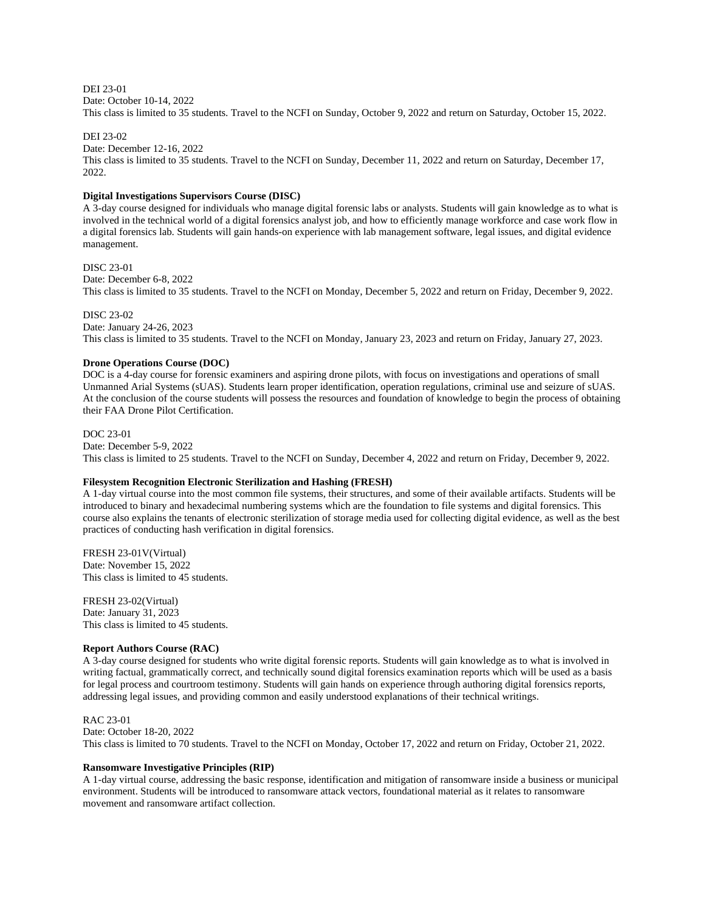DEI 23-01 Date: October 10-14, 2022 This class is limited to 35 students. Travel to the NCFI on Sunday, October 9, 2022 and return on Saturday, October 15, 2022.

DEI 23-02

Date: December 12-16, 2022

This class is limited to 35 students. Travel to the NCFI on Sunday, December 11, 2022 and return on Saturday, December 17, 2022.

## **Digital Investigations Supervisors Course (DISC)**

A 3-day course designed for individuals who manage digital forensic labs or analysts. Students will gain knowledge as to what is involved in the technical world of a digital forensics analyst job, and how to efficiently manage workforce and case work flow in a digital forensics lab. Students will gain hands-on experience with lab management software, legal issues, and digital evidence management.

DISC 23-01

Date: December 6-8, 2022 This class is limited to 35 students. Travel to the NCFI on Monday, December 5, 2022 and return on Friday, December 9, 2022.

DISC 23-02

Date: January 24-26, 2023 This class is limited to 35 students. Travel to the NCFI on Monday, January 23, 2023 and return on Friday, January 27, 2023.

## **Drone Operations Course (DOC)**

DOC is a 4-day course for forensic examiners and aspiring drone pilots, with focus on investigations and operations of small Unmanned Arial Systems (sUAS). Students learn proper identification, operation regulations, criminal use and seizure of sUAS. At the conclusion of the course students will possess the resources and foundation of knowledge to begin the process of obtaining their FAA Drone Pilot Certification.

#### DOC 23-01

Date: December 5-9, 2022

This class is limited to 25 students. Travel to the NCFI on Sunday, December 4, 2022 and return on Friday, December 9, 2022.

## **Filesystem Recognition Electronic Sterilization and Hashing (FRESH)**

A 1-day virtual course into the most common file systems, their structures, and some of their available artifacts. Students will be introduced to binary and hexadecimal numbering systems which are the foundation to file systems and digital forensics. This course also explains the tenants of electronic sterilization of storage media used for collecting digital evidence, as well as the best practices of conducting hash verification in digital forensics.

FRESH 23-01V(Virtual) Date: November 15, 2022 This class is limited to 45 students.

FRESH 23-02(Virtual) Date: January 31, 2023 This class is limited to 45 students.

## **Report Authors Course (RAC)**

A 3-day course designed for students who write digital forensic reports. Students will gain knowledge as to what is involved in writing factual, grammatically correct, and technically sound digital forensics examination reports which will be used as a basis for legal process and courtroom testimony. Students will gain hands on experience through authoring digital forensics reports, addressing legal issues, and providing common and easily understood explanations of their technical writings.

RAC 23-01 Date: October 18-20, 2022 This class is limited to 70 students. Travel to the NCFI on Monday, October 17, 2022 and return on Friday, October 21, 2022.

## **Ransomware Investigative Principles (RIP)**

A 1-day virtual course, addressing the basic response, identification and mitigation of ransomware inside a business or municipal environment. Students will be introduced to ransomware attack vectors, foundational material as it relates to ransomware movement and ransomware artifact collection.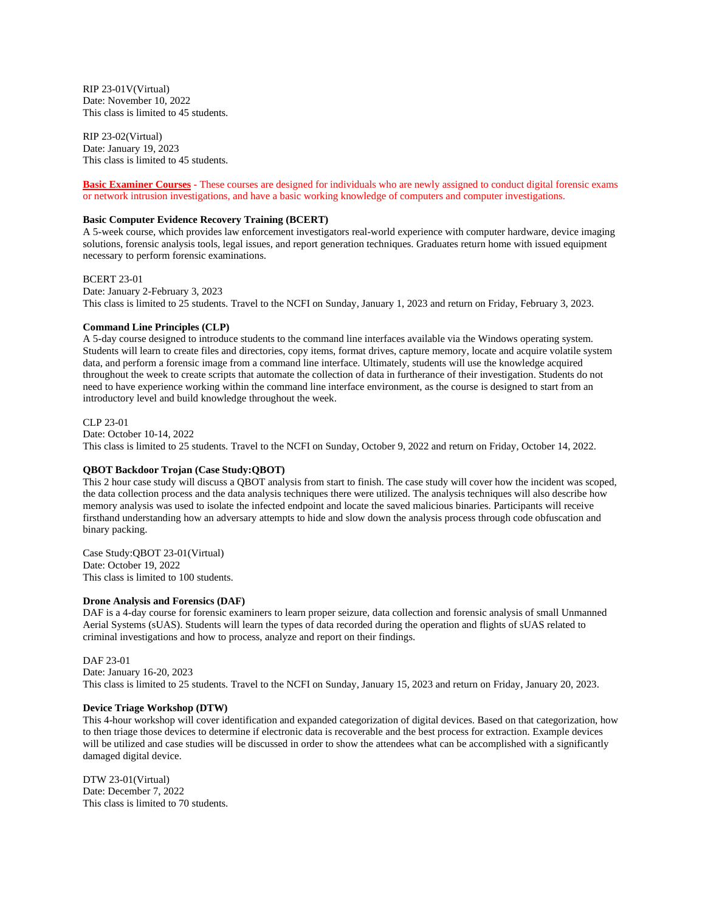RIP 23-01V(Virtual) Date: November 10, 2022 This class is limited to 45 students.

RIP 23-02(Virtual) Date: January 19, 2023 This class is limited to 45 students.

**Basic Examiner Courses -** These courses are designed for individuals who are newly assigned to conduct digital forensic exams or network intrusion investigations, and have a basic working knowledge of computers and computer investigations.

## **Basic Computer Evidence Recovery Training (BCERT)**

A 5-week course, which provides law enforcement investigators real-world experience with computer hardware, device imaging solutions, forensic analysis tools, legal issues, and report generation techniques. Graduates return home with issued equipment necessary to perform forensic examinations.

BCERT 23-01

Date: January 2-February 3, 2023 This class is limited to 25 students. Travel to the NCFI on Sunday, January 1, 2023 and return on Friday, February 3, 2023.

## **Command Line Principles (CLP)**

A 5-day course designed to introduce students to the command line interfaces available via the Windows operating system. Students will learn to create files and directories, copy items, format drives, capture memory, locate and acquire volatile system data, and perform a forensic image from a command line interface. Ultimately, students will use the knowledge acquired throughout the week to create scripts that automate the collection of data in furtherance of their investigation. Students do not need to have experience working within the command line interface environment, as the course is designed to start from an introductory level and build knowledge throughout the week.

CLP 23-01

Date: October 10-14, 2022

This class is limited to 25 students. Travel to the NCFI on Sunday, October 9, 2022 and return on Friday, October 14, 2022.

## **QBOT Backdoor Trojan (Case Study:QBOT)**

This 2 hour case study will discuss a QBOT analysis from start to finish. The case study will cover how the incident was scoped, the data collection process and the data analysis techniques there were utilized. The analysis techniques will also describe how memory analysis was used to isolate the infected endpoint and locate the saved malicious binaries. Participants will receive firsthand understanding how an adversary attempts to hide and slow down the analysis process through code obfuscation and binary packing.

Case Study:QBOT 23-01(Virtual) Date: October 19, 2022 This class is limited to 100 students.

#### **Drone Analysis and Forensics (DAF)**

DAF is a 4-day course for forensic examiners to learn proper seizure, data collection and forensic analysis of small Unmanned Aerial Systems (sUAS). Students will learn the types of data recorded during the operation and flights of sUAS related to criminal investigations and how to process, analyze and report on their findings.

# DAF 23-01

Date: January 16-20, 2023 This class is limited to 25 students. Travel to the NCFI on Sunday, January 15, 2023 and return on Friday, January 20, 2023.

## **Device Triage Workshop (DTW)**

This 4-hour workshop will cover identification and expanded categorization of digital devices. Based on that categorization, how to then triage those devices to determine if electronic data is recoverable and the best process for extraction. Example devices will be utilized and case studies will be discussed in order to show the attendees what can be accomplished with a significantly damaged digital device.

DTW 23-01(Virtual) Date: December 7, 2022 This class is limited to 70 students.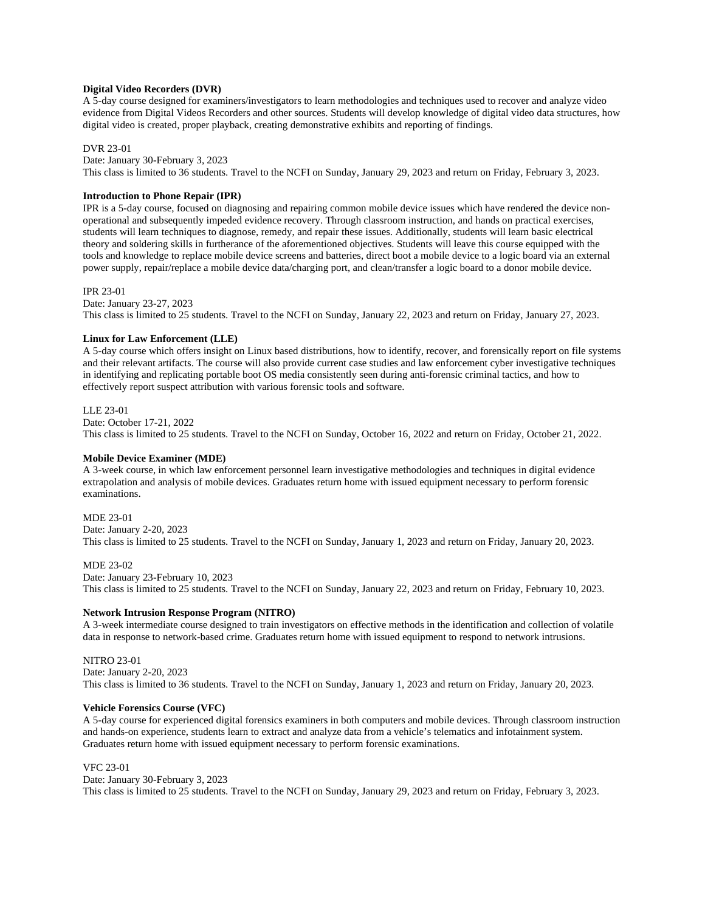## **Digital Video Recorders (DVR)**

A 5-day course designed for examiners/investigators to learn methodologies and techniques used to recover and analyze video evidence from Digital Videos Recorders and other sources. Students will develop knowledge of digital video data structures, how digital video is created, proper playback, creating demonstrative exhibits and reporting of findings.

#### DVR 23-01

Date: January 30-February 3, 2023

This class is limited to 36 students. Travel to the NCFI on Sunday, January 29, 2023 and return on Friday, February 3, 2023.

## **Introduction to Phone Repair (IPR)**

IPR is a 5-day course, focused on diagnosing and repairing common mobile device issues which have rendered the device nonoperational and subsequently impeded evidence recovery. Through classroom instruction, and hands on practical exercises, students will learn techniques to diagnose, remedy, and repair these issues. Additionally, students will learn basic electrical theory and soldering skills in furtherance of the aforementioned objectives. Students will leave this course equipped with the tools and knowledge to replace mobile device screens and batteries, direct boot a mobile device to a logic board via an external power supply, repair/replace a mobile device data/charging port, and clean/transfer a logic board to a donor mobile device.

#### IPR 23-01

Date: January 23-27, 2023 This class is limited to 25 students. Travel to the NCFI on Sunday, January 22, 2023 and return on Friday, January 27, 2023.

#### **Linux for Law Enforcement (LLE)**

A 5-day course which offers insight on Linux based distributions, how to identify, recover, and forensically report on file systems and their relevant artifacts. The course will also provide current case studies and law enforcement cyber investigative techniques in identifying and replicating portable boot OS media consistently seen during anti-forensic criminal tactics, and how to effectively report suspect attribution with various forensic tools and software.

#### LLE 23-01

Date: October 17-21, 2022 This class is limited to 25 students. Travel to the NCFI on Sunday, October 16, 2022 and return on Friday, October 21, 2022.

#### **Mobile Device Examiner (MDE)**

A 3-week course, in which law enforcement personnel learn investigative methodologies and techniques in digital evidence extrapolation and analysis of mobile devices. Graduates return home with issued equipment necessary to perform forensic examinations.

## MDE 23-01

Date: January 2-20, 2023 This class is limited to 25 students. Travel to the NCFI on Sunday, January 1, 2023 and return on Friday, January 20, 2023.

#### MDE 23-02

Date: January 23-February 10, 2023 This class is limited to 25 students. Travel to the NCFI on Sunday, January 22, 2023 and return on Friday, February 10, 2023.

## **Network Intrusion Response Program (NITRO)**

A 3-week intermediate course designed to train investigators on effective methods in the identification and collection of volatile data in response to network-based crime. Graduates return home with issued equipment to respond to network intrusions.

## NITRO 23-01

Date: January 2-20, 2023 This class is limited to 36 students. Travel to the NCFI on Sunday, January 1, 2023 and return on Friday, January 20, 2023.

#### **Vehicle Forensics Course (VFC)**

A 5-day course for experienced digital forensics examiners in both computers and mobile devices. Through classroom instruction and hands-on experience, students learn to extract and analyze data from a vehicle's telematics and infotainment system. Graduates return home with issued equipment necessary to perform forensic examinations.

#### VFC 23-01

Date: January 30-February 3, 2023 This class is limited to 25 students. Travel to the NCFI on Sunday, January 29, 2023 and return on Friday, February 3, 2023.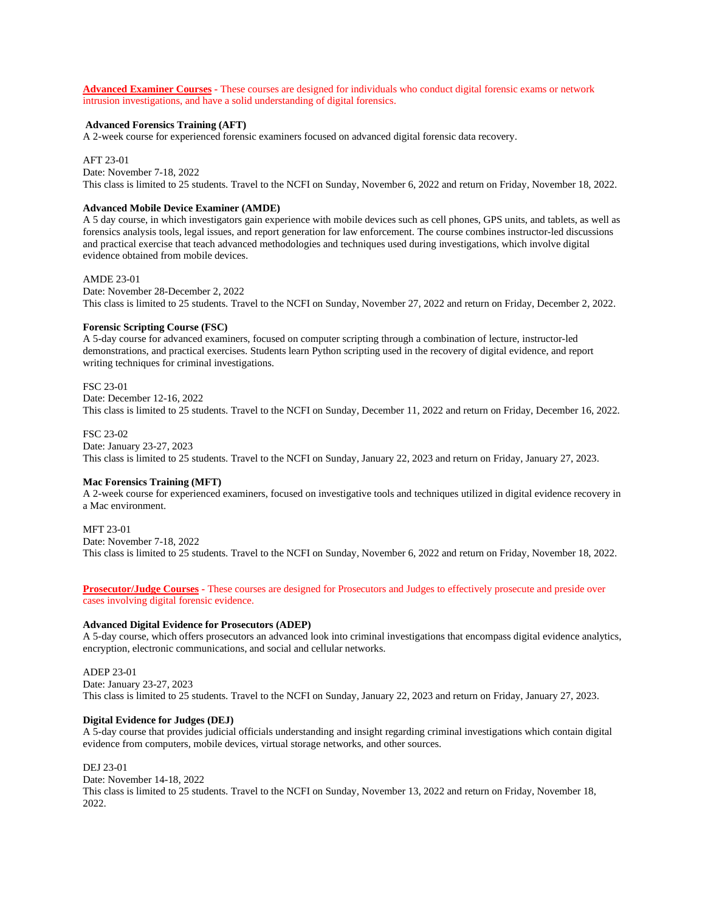**Advanced Examiner Courses -** These courses are designed for individuals who conduct digital forensic exams or network intrusion investigations, and have a solid understanding of digital forensics.

#### **Advanced Forensics Training (AFT)**

A 2-week course for experienced forensic examiners focused on advanced digital forensic data recovery.

#### AFT 23-01

Date: November 7-18, 2022 This class is limited to 25 students. Travel to the NCFI on Sunday, November 6, 2022 and return on Friday, November 18, 2022.

#### **Advanced Mobile Device Examiner (AMDE)**

A 5 day course, in which investigators gain experience with mobile devices such as cell phones, GPS units, and tablets, as well as forensics analysis tools, legal issues, and report generation for law enforcement. The course combines instructor-led discussions and practical exercise that teach advanced methodologies and techniques used during investigations, which involve digital evidence obtained from mobile devices.

### AMDE 23-01

Date: November 28-December 2, 2022 This class is limited to 25 students. Travel to the NCFI on Sunday, November 27, 2022 and return on Friday, December 2, 2022.

#### **Forensic Scripting Course (FSC)**

A 5-day course for advanced examiners, focused on computer scripting through a combination of lecture, instructor-led demonstrations, and practical exercises. Students learn Python scripting used in the recovery of digital evidence, and report writing techniques for criminal investigations.

## FSC 23-01

Date: December 12-16, 2022 This class is limited to 25 students. Travel to the NCFI on Sunday, December 11, 2022 and return on Friday, December 16, 2022.

#### FSC 23-02

Date: January 23-27, 2023

This class is limited to 25 students. Travel to the NCFI on Sunday, January 22, 2023 and return on Friday, January 27, 2023.

#### **Mac Forensics Training (MFT)**

A 2-week course for experienced examiners, focused on investigative tools and techniques utilized in digital evidence recovery in a Mac environment.

MFT 23-01

Date: November 7-18, 2022

This class is limited to 25 students. Travel to the NCFI on Sunday, November 6, 2022 and return on Friday, November 18, 2022.

**Prosecutor/Judge Courses -** These courses are designed for Prosecutors and Judges to effectively prosecute and preside over cases involving digital forensic evidence.

#### **Advanced Digital Evidence for Prosecutors (ADEP)**

A 5-day course, which offers prosecutors an advanced look into criminal investigations that encompass digital evidence analytics, encryption, electronic communications, and social and cellular networks.

#### ADEP 23-01

Date: January 23-27, 2023 This class is limited to 25 students. Travel to the NCFI on Sunday, January 22, 2023 and return on Friday, January 27, 2023.

#### **Digital Evidence for Judges (DEJ)**

A 5-day course that provides judicial officials understanding and insight regarding criminal investigations which contain digital evidence from computers, mobile devices, virtual storage networks, and other sources.

DEJ 23-01 Date: November 14-18, 2022 This class is limited to 25 students. Travel to the NCFI on Sunday, November 13, 2022 and return on Friday, November 18, 2022.